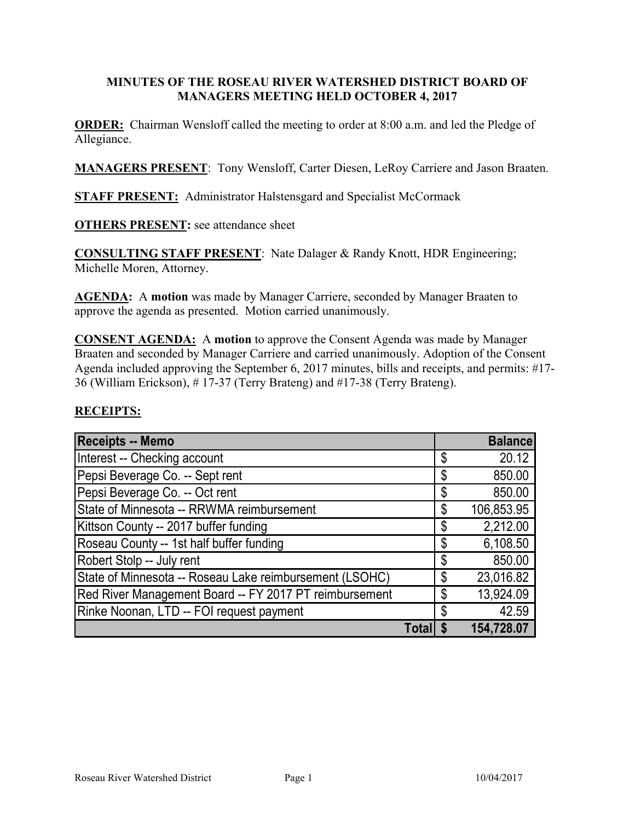### **MINUTES OF THE ROSEAU RIVER WATERSHED DISTRICT BOARD OF MANAGERS MEETING HELD OCTOBER 4, 2017**

**ORDER:** Chairman Wensloff called the meeting to order at 8:00 a.m. and led the Pledge of Allegiance.

**MANAGERS PRESENT**: Tony Wensloff, Carter Diesen, LeRoy Carriere and Jason Braaten.

**STAFF PRESENT:** Administrator Halstensgard and Specialist McCormack

**OTHERS PRESENT:** see attendance sheet

**CONSULTING STAFF PRESENT**: Nate Dalager & Randy Knott, HDR Engineering; Michelle Moren, Attorney.

**AGENDA:** A **motion** was made by Manager Carriere, seconded by Manager Braaten to approve the agenda as presented. Motion carried unanimously.

**CONSENT AGENDA:** A **motion** to approve the Consent Agenda was made by Manager Braaten and seconded by Manager Carriere and carried unanimously. Adoption of the Consent Agenda included approving the September 6, 2017 minutes, bills and receipts, and permits: #17- 36 (William Erickson), # 17-37 (Terry Brateng) and #17-38 (Terry Brateng).

#### **RECEIPTS:**

| Receipts -- Memo                                        |    | <b>Balance</b> |
|---------------------------------------------------------|----|----------------|
| Interest -- Checking account                            | \$ | 20.12          |
| Pepsi Beverage Co. -- Sept rent                         | \$ | 850.00         |
| Pepsi Beverage Co. -- Oct rent                          | \$ | 850.00         |
| State of Minnesota -- RRWMA reimbursement               | \$ | 106,853.95     |
| Kittson County -- 2017 buffer funding                   | \$ | 2,212.00       |
| Roseau County -- 1st half buffer funding                | \$ | 6,108.50       |
| Robert Stolp -- July rent                               | S  | 850.00         |
| State of Minnesota -- Roseau Lake reimbursement (LSOHC) | \$ | 23,016.82      |
| Red River Management Board -- FY 2017 PT reimbursement  | \$ | 13,924.09      |
| Rinke Noonan, LTD -- FOI request payment                | \$ | 42.59          |
| Tota                                                    |    | 154,728.07     |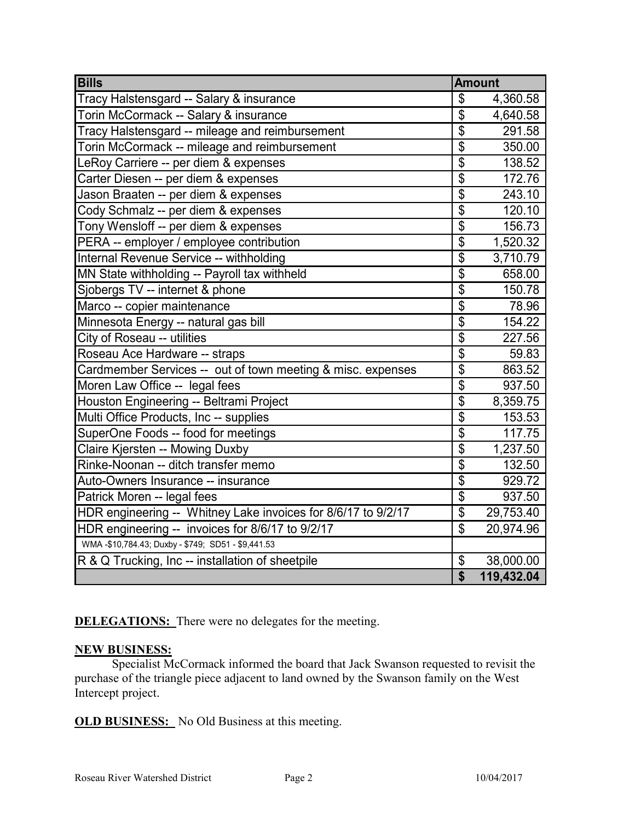| <b>Bills</b>                                                  | <b>Amount</b>             |            |
|---------------------------------------------------------------|---------------------------|------------|
| Tracy Halstensgard -- Salary & insurance                      | \$                        | 4,360.58   |
| Torin McCormack -- Salary & insurance                         | $\overline{\$}$           | 4,640.58   |
| Tracy Halstensgard -- mileage and reimbursement               | $\overline{\mathbb{S}}$   | 291.58     |
| Torin McCormack -- mileage and reimbursement                  | \$                        | 350.00     |
| LeRoy Carriere -- per diem & expenses                         | $\overline{\$}$           | 138.52     |
| Carter Diesen -- per diem & expenses                          | $\overline{\$}$           | 172.76     |
| Jason Braaten -- per diem & expenses                          | \$                        | 243.10     |
| Cody Schmalz -- per diem & expenses                           | $\overline{\$}$           | 120.10     |
| Tony Wensloff -- per diem & expenses                          | $\overline{\$}$           | 156.73     |
| PERA -- employer / employee contribution                      | \$                        | 1,520.32   |
| Internal Revenue Service -- withholding                       | $\overline{\$}$           | 3,710.79   |
| MN State withholding -- Payroll tax withheld                  | $\overline{\$}$           | 658.00     |
| Sjobergs TV -- internet & phone                               | $\overline{\mathbb{S}}$   | 150.78     |
| Marco -- copier maintenance                                   | $\overline{\$}$           | 78.96      |
| Minnesota Energy -- natural gas bill                          | $\overline{\mathbb{S}}$   | 154.22     |
| City of Roseau -- utilities                                   | $\overline{\$}$           | 227.56     |
| Roseau Ace Hardware -- straps                                 | $\overline{\$}$           | 59.83      |
| Cardmember Services -- out of town meeting & misc. expenses   | $\overline{\$}$           | 863.52     |
| Moren Law Office -- legal fees                                | $\overline{\mathfrak{s}}$ | 937.50     |
| Houston Engineering -- Beltrami Project                       | $\overline{\$}$           | 8,359.75   |
| Multi Office Products, Inc -- supplies                        | $\overline{\$}$           | 153.53     |
| SuperOne Foods -- food for meetings                           | $\overline{\mathfrak{s}}$ | 117.75     |
| Claire Kjersten -- Mowing Duxby                               | $\overline{\$}$           | 1,237.50   |
| Rinke-Noonan -- ditch transfer memo                           | $\overline{\$}$           | 132.50     |
| Auto-Owners Insurance -- insurance                            | \$                        | 929.72     |
| Patrick Moren -- legal fees                                   | $\overline{\$}$           | 937.50     |
| HDR engineering -- Whitney Lake invoices for 8/6/17 to 9/2/17 | $\overline{\mathcal{S}}$  | 29,753.40  |
| HDR engineering -- invoices for 8/6/17 to 9/2/17              | \$                        | 20,974.96  |
| WMA-\$10,784.43; Duxby - \$749; SD51 - \$9,441.53             |                           |            |
| R & Q Trucking, Inc -- installation of sheetpile              | \$                        | 38,000.00  |
|                                                               | $\overline{\mathbf{s}}$   | 119,432.04 |

**DELEGATIONS:** There were no delegates for the meeting.

# **NEW BUSINESS:**

 Specialist McCormack informed the board that Jack Swanson requested to revisit the purchase of the triangle piece adjacent to land owned by the Swanson family on the West Intercept project.

**OLD BUSINESS:** No Old Business at this meeting.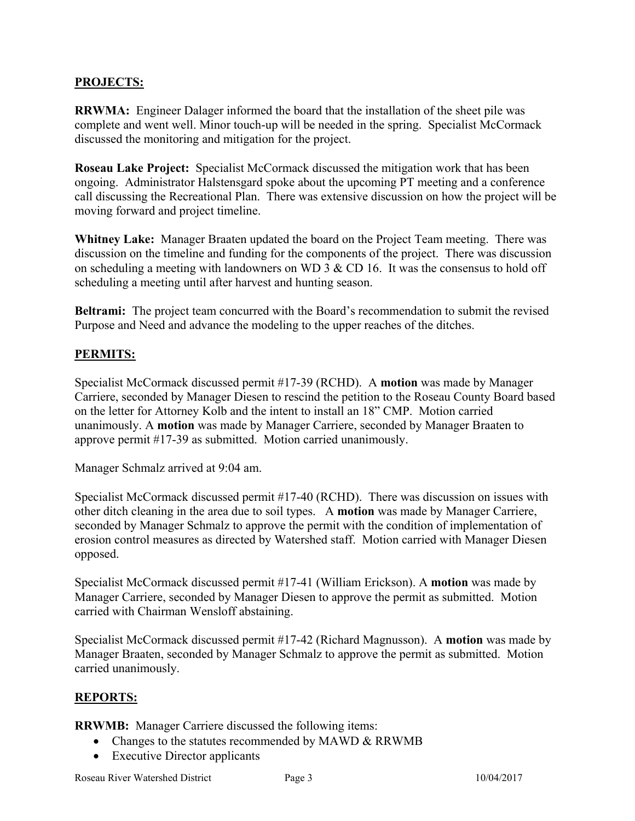## **PROJECTS:**

**RRWMA:** Engineer Dalager informed the board that the installation of the sheet pile was complete and went well. Minor touch-up will be needed in the spring. Specialist McCormack discussed the monitoring and mitigation for the project.

**Roseau Lake Project:** Specialist McCormack discussed the mitigation work that has been ongoing. Administrator Halstensgard spoke about the upcoming PT meeting and a conference call discussing the Recreational Plan. There was extensive discussion on how the project will be moving forward and project timeline.

**Whitney Lake:** Manager Braaten updated the board on the Project Team meeting. There was discussion on the timeline and funding for the components of the project. There was discussion on scheduling a meeting with landowners on WD 3  $\&$  CD 16. It was the consensus to hold off scheduling a meeting until after harvest and hunting season.

**Beltrami:** The project team concurred with the Board's recommendation to submit the revised Purpose and Need and advance the modeling to the upper reaches of the ditches.

# **PERMITS:**

Specialist McCormack discussed permit #17-39 (RCHD). A **motion** was made by Manager Carriere, seconded by Manager Diesen to rescind the petition to the Roseau County Board based on the letter for Attorney Kolb and the intent to install an 18" CMP. Motion carried unanimously. A **motion** was made by Manager Carriere, seconded by Manager Braaten to approve permit #17-39 as submitted. Motion carried unanimously.

Manager Schmalz arrived at 9:04 am.

Specialist McCormack discussed permit #17-40 (RCHD). There was discussion on issues with other ditch cleaning in the area due to soil types. A **motion** was made by Manager Carriere, seconded by Manager Schmalz to approve the permit with the condition of implementation of erosion control measures as directed by Watershed staff. Motion carried with Manager Diesen opposed.

Specialist McCormack discussed permit #17-41 (William Erickson). A **motion** was made by Manager Carriere, seconded by Manager Diesen to approve the permit as submitted. Motion carried with Chairman Wensloff abstaining.

Specialist McCormack discussed permit #17-42 (Richard Magnusson). A **motion** was made by Manager Braaten, seconded by Manager Schmalz to approve the permit as submitted. Motion carried unanimously.

## **REPORTS:**

**RRWMB:** Manager Carriere discussed the following items:

- Changes to the statutes recommended by MAWD & RRWMB
- Executive Director applicants